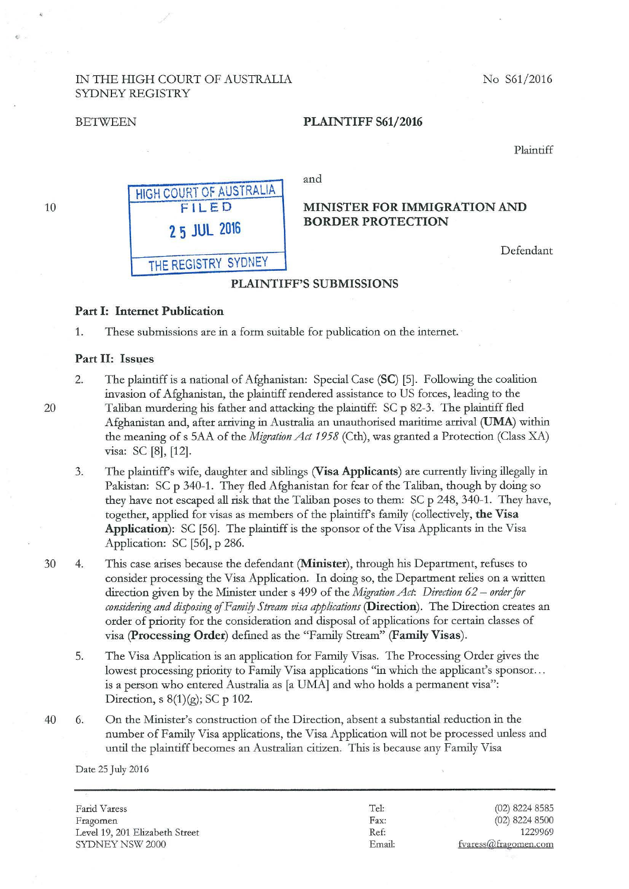## IN THE HIGH COURT OF AUSTRALIA No S61/2016 SYDNEY REGISTRY

#### BETWEEN PLAINTIFF S61/2016

Plaintiff



#### PLAINTIFF'S SUBMISSIONS

#### Part I: Internet Publication

1. These submissions are in a form suitable for publication on the intemet.

#### Part II: Issues

- 2. The plaintiff is a national of Afghanistan: Special Case (SC) [5]. Following the coalition invasion of Afghanistan, the plaintiff rendered assistance to US forces, leading to the Taliban murdering his father and attacking the plaintiff: SC p 82-3. The plaintiff fled Afghanistan and, after arriving in Australia an unauthorised maritime arrival (UMA) within the meaning of s 5AA of the *Migration Act 1958* (Cth), was granted a Protection (Class XA) visa: SC [8], [12].
- 3. The plaintiffs wife, daughter and siblings (Visa Applicants) are currently living illegally in Pakistan: SC p 340-1. They fled Afghanistan for fear of the Taliban, though by doing so they have not escaped all risk that the Taliban poses to them: SC p 248, 340-1. They have, together, applied for visas as members of the plaintiffs family (collectively, the Visa Application): SC [56]. The plaintiff is the sponsor of the Visa Applicants in the Visa Application: SC [56], p 286.
- 30 4. This case arises because the defendant (Minister), through his Department, refuses to consider processing the Visa Application. In doing so, the Department relies on a written direction given by the Minister under s 499 of the *Migration Act: Direction 62- order for*  considering and disposing of Family Stream visa applications (Direction). The Direction creates an order of priority for the consideration and disposal of applications for certain classes of visa (Processing Order) defined as the "Family Stream" (Family Visas).
	- 5. The Visa Application is an application for Family Visas. The Processing Order gives the lowest processing priority to Family Visa applications "in which the applicant's sponsor... is a person who entered Australia as [a UMA] and who holds a permanent visa": Direction, s  $8(1)(g)$ ; SC p 102.
- 40 6. On the Minister's construction of the Direction, absent a substantial reduction in the number of Family Visa applications, the Visa Application will not be processed unless and until the plaintiff becomes an Australian citizen. This is because any Family Visa

Date 25 July 2016

Farid Varess Fragomen Level 19, 201 Elizabeth Street SYDNEY NSW 2000

Tel: Fax: Ref: Em ail:

(02) 8224 8585 (02) 8224 8500 1229969 fvaress@fragomen.com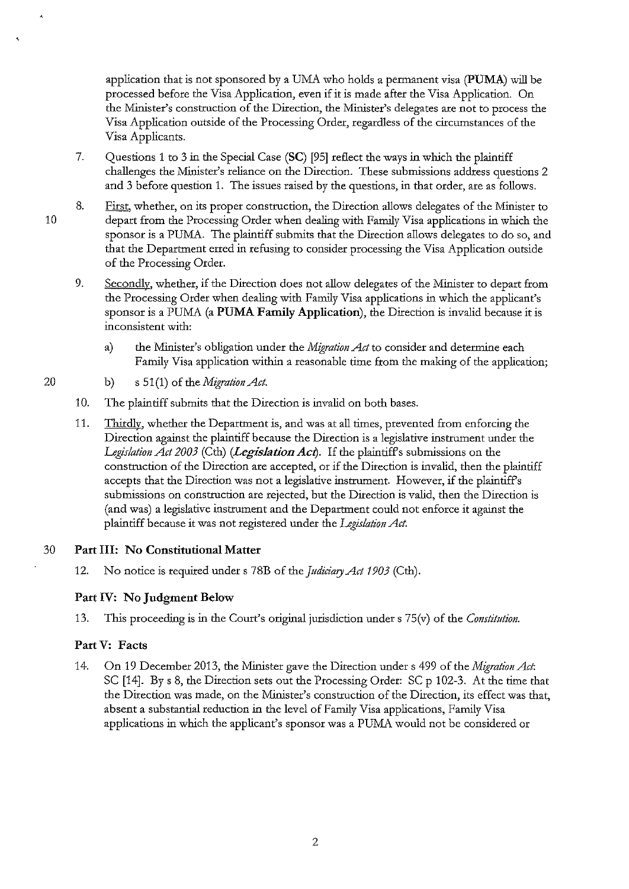application that is not sponsored by a UMA who holds a permanent visa **(PUMA)** will be processed before the Visa Application, even if it is made after the Visa Application. On the Minister's construction of the Direction, the Minister's delegates are not to process the Visa Application outside of the Processing Order, regardless of the circumstances of the Visa Applicants.

- 7. Questions 1 to 3 in the Special Case **(SC)** [95] reflect the ways in which the plaintiff challenges the Minister's reliance on the Direction. These submissions address questions 2 and 3 before question 1. The issues raised by the questions, in that order, are as follows.
- 8. First, whether, on its proper construction, the Direction allows delegates of the Minister to depatt from the Processing Order when dealing with Family Visa applications in which the sponsor is a PUMA. The plaintiff submits that the Direction allows delegates to do so, and that the Department erred in refusing to consider processing the Visa Application outside of the Processing Order.
	- 9. Secondly. whether, if the Direction does not allow delegates of the Minister to depart from the Processing Order when dealing with Family Visa applications in which the applicant's sponsor is a PUMA (a **PUMA Family Application),** the Direction is invalid because it is inconsistent with:
		- a) the Minister's obligation under the *Migration Act* to consider and determine each Family Visa application within a reasonable time from the making of the application;
- 20 b) s 51(1) of the *Migration Act.* 
	- 10. The plaintiff submits that the Direction is invalid on both bases.
	- 11. Thirdly, whether the Department is, and was at all times, prevented from enforcing the Direction against the plaintiff because the Direction is a legislative instrument under the *Legislation Act 2003* (Cth) *(Legislation Act).* If the plaintiffs submissions on the construction of the Direction are accepted, or if the Direction is invalid, then the plaintiff accepts that the Direction was not a legislative instrument. However, if the plaintiffs submissions on construction are rejected, but the Direction is valid, then the Direction is (and was) a legislative instrument and the Department could not enforce it against the plaintiff because it was not registered under the *Legislation Act.*

## 30 **Part Ill: No Constitutional Matter**

12. No notice is required under s 78B of the *Judiciary Act 1903* (Cth).

## **Part IV: No Judgment Below**

13. This proceeding is in the Court's original jurisdiction under s 75(v) of the *Constitution*.

## **Part V: Facts**

14. On 19 December 2013, the Minister gave the Direction under s 499 of the *Migration Act*: SC [14]. By s 8, the Direction sets out the Processing Order: SC p 102-3. At the time that the Direction was made, on the Minister's construction of the Direction, its effect was that, absent a substantial reduction in the level of Family Visa applications, Family Visa applications in which the applicant's sponsor was a PUMA would not be considered or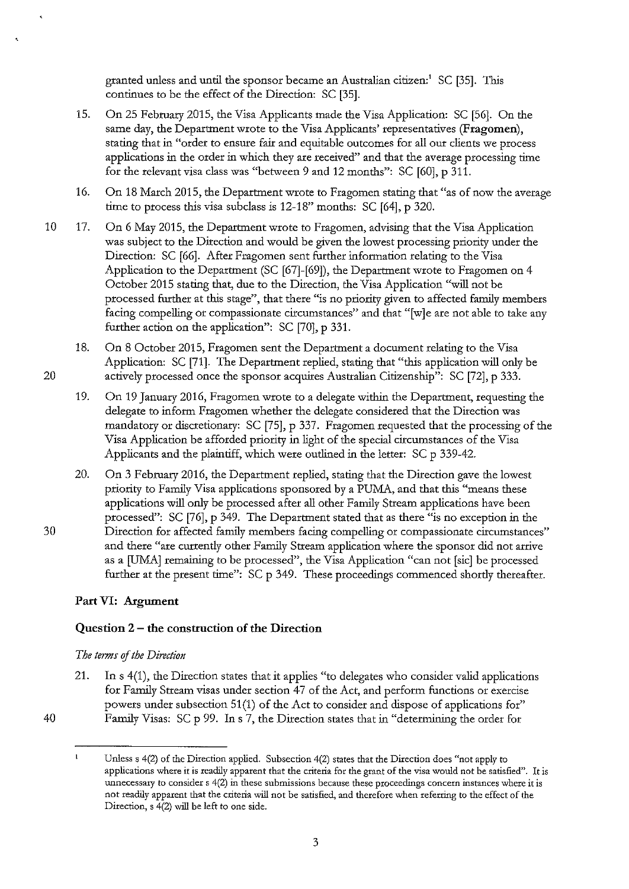granted unless and until the sponsor became an Australian citizen:' SC [35]. This continues to be the effect of the Direction: SC [35].

- 15. On 25 February 2015, the Visa Applicants made the Visa Application: SC [56]. On the same day, the Department wrote to the Visa Applicants' representatives **(Fragomen),**  stating that in "order to ensure fair and equitable outcomes for all our clients we process applications in the order in which they are received" and that the average processing time for the relevant visa class was "between 9 and 12 months": SC [60], p 311.
- 16. On 18 March 2015, the Department wrote to Fragomen stating that "as of now the average time to process this visa subclass is 12-18" months: SC [64], p 320.
- 10 17. On 6 May 2015, the Department wrote to Fragomen, advising that the Visa Application was subject to the Direction and would be given the lowest processing priority under the Direction: SC [66]. After Fragomen sent further information relating to the Visa Application to the Department (SC [67]-[69]), the Department wrote to Fragomen on 4 October 2015 stating that, due to the Direction, the Visa Application "will not be processed further at this stage", that there "is no priority given to affected family members facing compelling or compassionate circumstances" and that "[w]e are not able to take any further action on the application": SC [70], p 331.
- 18. On 8 October 2015, Fragomen sent the Department a document relating to the Visa Application: SC [71]. The Department replied, stating that "this application will only be 20 actively processed once the sponsor acquires Australian Citizenship": SC [72], p 333.
	- 19. On 19 January 2016, Fragomen wrote to a delegate within the Department, requesting the delegate to inform Fragomen whether the delegate considered that the Direction was mandatory or discretionary: SC [75], p 337. Fragomen requested that the processing of the Visa Application be afforded priority in light of the special circumstances of the Visa Applicants and the plaintiff, which were outlined in the letter: SC p 339-42.
- 20. On 3 February 2016, the Department replied, stating that the Direction gave the lowest priority to Family Visa applications sponsored by a PUMA, and that this "means these applications will only be processed after all other Family Stream applications have been processed": SC [76], p 349. The Department stated that as there "is no exception in the 30 Direction for affected family members facing compelling or compassionate circumstances" and there "are currently other Family Stream application where the sponsor did not arrive as a [UMA] remaining to be processed", the Visa Application "can not [sic] be processed further at the present time": SC p 349. These proceedings commenced shortly thereafter.

## **Part VI: Argument**

## **Question 2 - the construction of the Direction**

## *The terms of the Direction*

- 21. Ins 4(1), the Direction states that it applies "to delegates who consider valid applications for Family Stream visas under section 47 of the Act, and perform functions or exercise powers under subsection 51(1) of the Act to consider and dispose of applications for" 40 Family Visas: SC p 99. Ins 7, the Direction states that in "determining the order for
- 

 $\mathbf{1}$ Unless s 4(2) of the Direction applied. Subsection 4(2) states that the Direction does "not apply to **applications where it is readily apparent that the criteria for the grant of the visa would not be satisfied". It is**  unnecessary to consider s 4(2) in these submissions because these proceedings concern instances where it is **not readily apparent that the criteria will not be satisfied, and therefore when referring to the effect of the**  Direction, s 4(2) will be left to one side.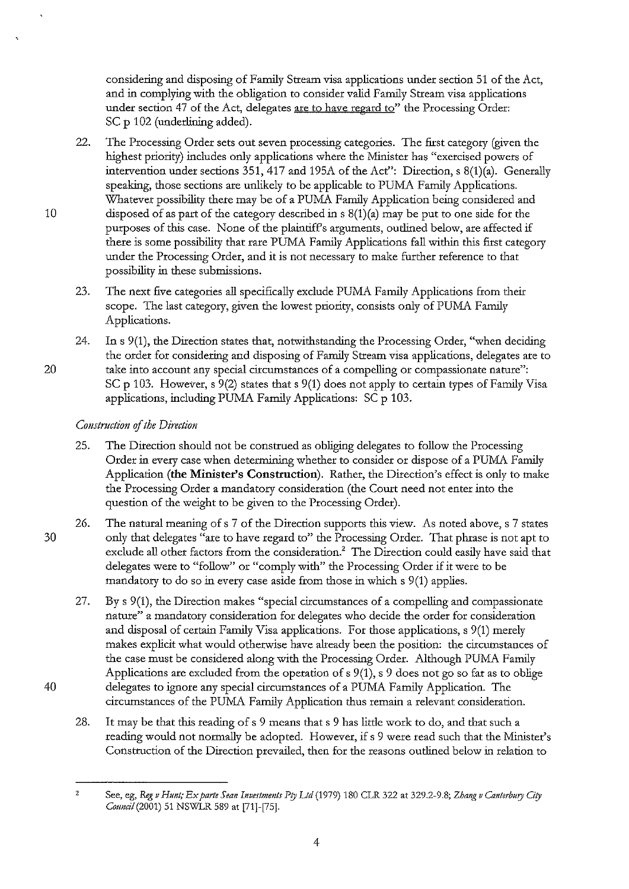considering and disposing of Family Stream visa applications under section 51 of the Act, and in complying with the obligation to consider valid Family Stream visa applications under section 47 of the Act, delegates are to have regard to" the Processing Order: SC p 102 (underlining added).

- 22. The Processing Order sets out seven processing categories. The first category (given the highest priority) includes only applications where the Minister has "exercised powers of intervention under sections 351,417 and 195A of the Act": Direction, s 8(1)(a). Generally speaking, those sections are unlikely to be applicable to PUMA Family Applications. Whatever possibility there may be of a PUMA Family Application being considered and 10 clisposed of as part of the category described in  $s(1)(a)$  may be put to one side for the purposes of this case. None of the plaintiff's arguments, outlined below, are affected if there is some possibility that rare PUMA Family Applications fall within this first category under the Processing Order, and it is not necessary to make further reference to that possibility in these submissions.
	- 23. The next five categories all specifically exclude PUMA Family Applications from their scope. The last category, given the lowest priority, consists only of PUMA Family Applications.
- 24. Ins 9(1), the Direction states that, notwithstanding the Processing Order, "when deciding the order for considering and disposing of Family Stream visa applications, delegates are to 20 take into account any special circumstances of a compelling or compassionate nature": SC p 103. However, s 9(2) states that s 9(1) does not apply to certain types of Family Visa applications, including PUMA Family Applications: SC p 103.

# *Comtruction* of *the Direction*

- 25. The Direction should not be construed as obliging delegates to follow the Processing Order in every case when determining whether to consider or dispose of a PUMA Family Application **(the Minister's Construction).** Rather, the Direction's effect is only to make the Processing Order a mandatory consideration (the Court need not enter into the question of the weight to be given to the Processing Order).
- 26. The natural meaning of s 7 of the Direction supports this view. As noted above, s 7 states 30 only that delegates "are to have regard to" the Processing Order. That phrase is not apt to exclude all other factors from the consideration.<sup>2</sup> The Direction could easily have said that delegates were to "follow" or "comply with" the Processing Order if it were to be mandatory to do so in every case aside from those in which s 9(1) applies.
- 27. By s 9(1), the Direction makes "special circumstances of a compelling and compassionate nature" a mandatory consideration for delegates who decide the order for consideration and disposal of certain Family Visa applications. For those applications, s 9(1) merely makes explicit what would otherwise have already been the position: the circumstances of the case must be considered along with the Processing Order. Although PUMA Family Applications are excluded from the operation of s 9(1), s 9 does not go so far as to oblige 40 delegates to ignore any special circumstances of a PUMA Family Application. The circumstances of the PUMA Family Application thus remain a relevant consideration.
	- 28. It may be that this reading of s 9 means that s 9 has little work to do, and that such a reading would not normally be adopted. However, if s 9 were read such that the Minister's Construction of the Direction prevailed, then for the reasons outlined below in relation to

<sup>2</sup> See, eg, *&g v Htmt; Ex parte Sean Investments Pty Ltd* (1979) 180 CLR 322 at 329.2-9.8; *Zhang v Canterbury City Council* (2001) 51 NSWLR 589 at [71]-[75].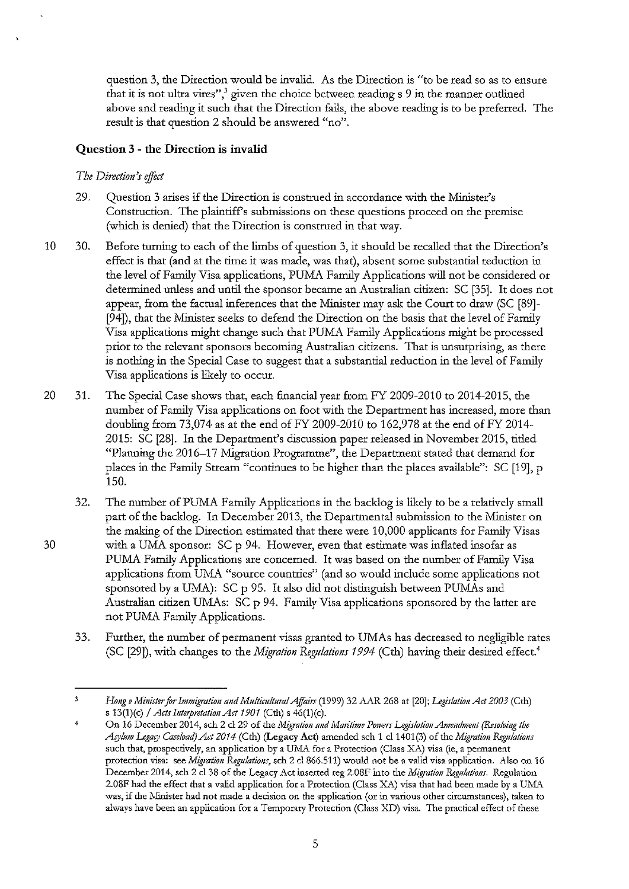question 3, the Direction would be invalid. As the Direction is "to be read so as to ensure that it is not ultra vires",<sup>3</sup> given the choice between reading  $s$  9 in the manner outlined above and reading it such that the Direction fails, the above reading is to be preferred. The result is that question 2 should be answered "no".

## **Question 3 - the Direction is invalid**

## *The Direction's effect*

- 29. Question 3 arises if the Direction is construed in accordance with the Minister's Construction. The plaintiffs submissions on these questions proceed on the premise (which is denied) that the Direction is construed in that way.
- 10 30. Before turning to each of the limbs of question 3, it should be recalled that the Direction's effect is that (and at the time it was made, was that), absent some substantial reduction in the level of Family Visa applications, PUMA Family Applications will not be considered or determined unless and until the sponsor became an Australian citizen: SC [35]. It does not appear, from the factual inferences that the Minister may ask the Court to draw (SC [89]- [94]), that the Minister seeks to defend the Direction on the basis that the level of Family Visa applications might change such that PUMA Family Applications might be processed prior to the relevant sponsors becoming Australian citizens. That is unsurptising, as there is nothing in the Special Case to suggest that a substantial reduction in the level of Family Visa applications is likely to occur.
- 20 31. The Special Case shows that, each financial year from FY 2009-2010 to 2014-2015, the number of Family Visa applications on foot with the Department has increased, more than doubling from 73,074 as at the end of FY 2009-2010 to 162,978 at the end of FY 2014-2015: SC [28]. In the Department's discussion paper released in November 2015, tided "Planning the 2016-17 Migration Programme", the Department stated that demand for places in the Family Stream "continues to be higher than the places available": SC [19], p 150.
- 32. The number of PUMA Family Applications in the backlog is likely to be a relatively small part of the backlog. In December 2013, the Departmental submission to the Minister on the making of the Direction estimated that there were 10,000 applicants for Family Visas 30 with a UMA sponsor: SC p 94. However, even that estimate was inflated insofar as PUMA Family Applications are concerned. It was based on the number of Family Visa applications from UMA "source countries" (and so would include some applications not sponsored by a UMA): SC p 95. It also did not distinguish between PUMAs and Australian citizen UMAs: SC p 94. Family Visa applications sponsored by the latter are not PUMA Family Applications.
	- 33. Further, the number of permanent visas granted to UMAs has decreased to negligible rates (SC [29]), with changes to the *Migration Regulations 1994* (Cth) having their desired effect.'

 $\bar{3}$ *Hong v Minister for Immigration and Multicultural Affairs* (1999) 32 AAR 268 at [20]; *Legislation Act 2003* (Cth) s 13(1)(c) */Acts Interpretation Ad 1901* (Cth) s 46(1)(c).

On 16 December 2014, sch 2 cl 29 of the *Migration and Maritime Powers Legislation Amendment (Resolving the AJ)I!IIJn Legary Caseload) Ar:t 2014* (Cth) (Legacy Act) amended sch 1 cl 1401 (3) of the *Migration fugu!ations*  such that, prospectively, an application by a UMA for a Protection (Class XA) visa (ie, a permanent **protection visa: see** *Migration Regulations,* **sch 2 cl866.511) would not be a valid visa application. Also on 16**  December 2014, sch 2 cl 38 of the Legacy Act inserted reg 2.08F into the *Migration Regulations*. Regulation 2.08F had the effect that a valid application for a Protection (Class XA) visa that had been made by a UMA **was, if the Nfinister had not made a decision on the application (or in various other circumstances), taken to always have been an application for a Temporary Protection (Class XD) visa. The practical effect of these**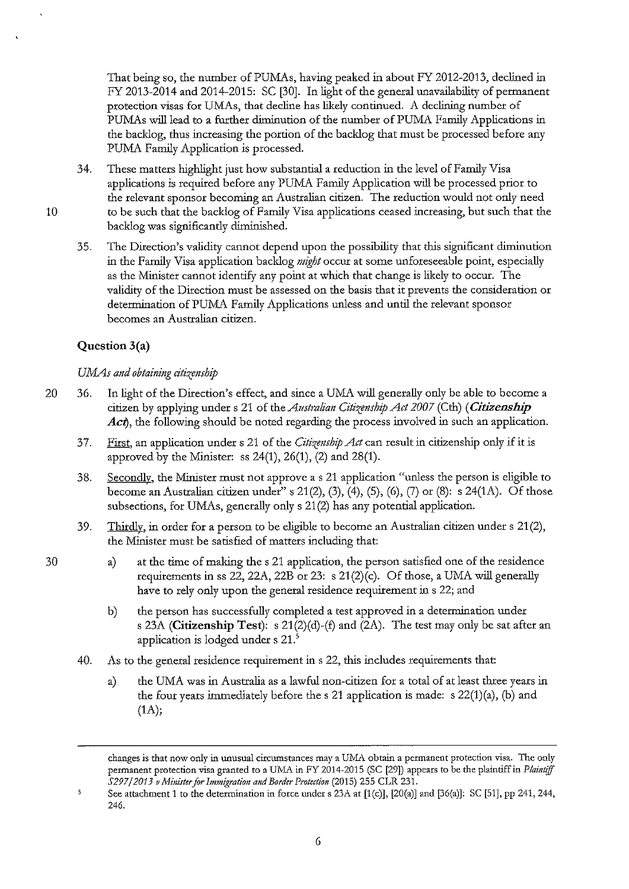That being so, the number of PUMAs, having peaked in about FY 2012-2013, declined in FY 2013-2014 and 2014-2015: SC [30]. In light of the general unavailability of permanent protection visas for UMAs, that decline has likely continued. A declining number of PUMAs will lead to a further diminution of the number of PUMA Family Applications in the backlog, thus increasing the portion of the backlog that must be processed before any PUMA Family Application is processed.

- 34. These matters highlight just how substantial a reduction in the level of Family Visa applications is required before any PUMA Family Application will be processed prior to the relevant sponsor becoming an Australian citizen. The reduction would not only need 10 to be such that the bacldog of Family Visa applications ceased increasing, but such that the backlog was significantly diminished.
	- 35. The Direction's validity cannot depend upon the possibility that this significant diminution in the Family Visa application backlog *might* occur at some unforeseeable point, especially as the Minister cannot identify any point at which that change is likely to occur. The validity of the Direction must be assessed on the basis that it prevents the consideration or determination of PUMA Family Applications unless and until the relevant sponsor becomes an Australian citizen.

# **Question 3(a)**

# *UMAs and obtaining citizenship*

- 20 36. In light of the Direction's effect, and since a UMA will generally only be able to become a citizen by applying under s 21 of the *Australian Citizenship Act 2007* (Cth) *(Citizenship*   $\vec{A}ct$ , the following should be noted regarding the process involved in such an application.
	- 37. First, an application under s 21 of the *Citizenship Act* can result in citizenship only if it is approved by the Minister: ss  $24(1)$ ,  $26(1)$ ,  $(2)$  and  $28(1)$ .
	- 38. Secondly, the Minister must not approve a s 21 application "unless the person is eligible to become an Australian citizen under" s 21(2), (3), (4), (5), (6), (7) or (8): s 24(1A). Of those subsections, for UMAs, generally only s 21 (2) has any potential application.
	- 39. Thirdly, in order for a person to be eligible to become an Australian citizen under  $s$  21(2), the Minister must be satisfied of matters including that:
		- a) at the time of making the s 21 application, the person satisfied one of the residence requirements in ss 22, 22A, 22B or 23: s 21(2)(c). Of those, a UMA will generally have to rely only upon the general residence requirement in s 22; and
			- b) the person has successfully completed a test approved in a determination under s 23A **(Citizenship Test):** s 21(2)(d)-(f) and (2A). The test may only be sat after an application is lodged under s 21.<sup>5</sup>
	- 40. As to the general residence requirement in s 22, this includes requirements that:
		- a) the UMA was in Australia as a lawful non-citizen for a total of at least three years in the four years inunediately before the s 21 application is made: s 22(1)(a), (b) and  $(1A);$

changes is that now only in unusual circumstances may a UMA obtain a permanent protection visa. The only permanent protection visa granted to a UMA in FY 2014-2015 (SC [29]) appears to be the plaintiff in *Plaintiff S297/2013 v Minister for Immigration and Border Protection* (2015) 255 CLR 231.

<sup>5</sup> See attachment 1 to the determination in force under s 23A at [l(c)], [20(a)] and [36(a)]: SC [51], pp 241,244, 246.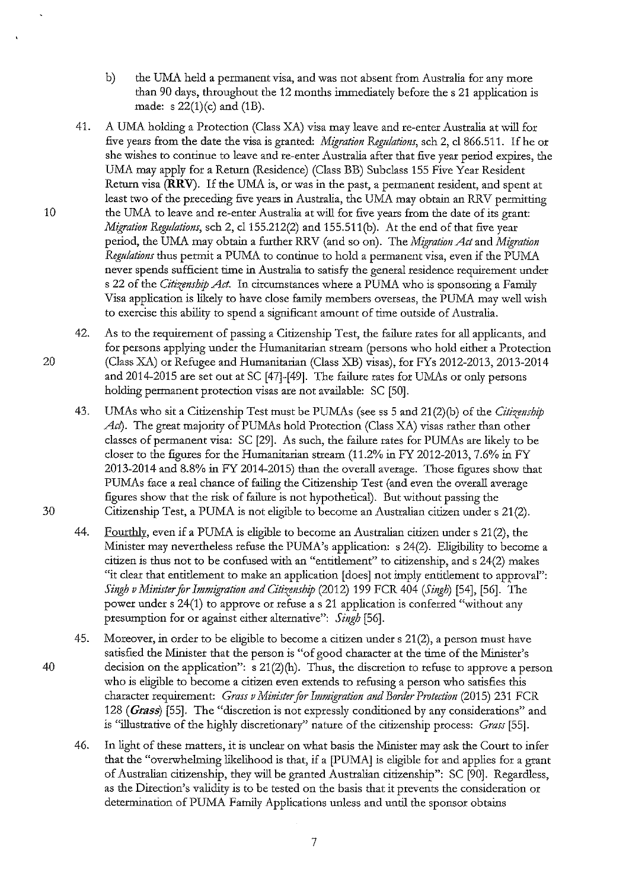- b) the UMA held a permanent visa, and was not absent from Australia for any more than 90 days, throughout the 12 months immediately before the s 21 application is made: s  $22(1)(c)$  and  $(1B)$ .
- 41. A UMA holding a Protection (Class XA) visa may leave and re-enter Australia at will for five years from the date the visa is granted: *Migration Regulations*, sch 2, cl 866.511. If he or she wishes to continue to leave and re-enter Australia after that five year period expires, the UMA may apply for a Return (Residence) (Class BB) Subclass 155 Five Year Resident Return visa (RRV). If the UMA is, or was in the past, a permanent resident, and spent at least two of the preceding five years in Australia, the UMA may obtain an RRV permitting 10 the UMA to leave and re-enter Australia at will for five years from the date of its grant: *Migration Regulations,* sch 2, cl155.212(2) and 155.511(b). At the end of that five year period, the UMA may obtain a further RRV (and so on). The *Migration Act* and *Migration Regulations* thus permit a PUMA to continue to hold a permanent visa, even if the PUMA never spends sufficient time in Australia to satisfy the general residence requirement under s 22 of the *Citizenship Act*. In circumstances where a PUMA who is sponsoring a Family Visa application is likely to have close family members overseas, the PUMA may well wish to exercise *this* ability to spend a significant amount of time outside of Australia.
- 42. As to the requirement of passing a Citizenship Test, the failure rates for all applicants, and for persons applying under the Humanitarian stream (persons who hold either a Protection 20 (Class XA) or Refugee and Humanitarian (Class XB) visas), for FYs 2012-2013,2013-2014 and 2014-2015 are set out at SC [47]-[49]. The failure rates for UMAs or only persons holding permanent protection visas are not available: SC [50].
- 43. UMAs who sit a Citizenship Test must be PUMAs (see ss 5 and 21 (2)(b) of the *Citizenship Act*). The great majority of PUMAs hold Protection (Class XA) visas rather than other classes of permanent visa: SC [29]. As such, the failure rates for PUMAs are likely to be closer to the figures for the Humanitarian stream (11.2% in FY 2012-2013, 7.6% in FY 2013-2014 and 8.8% in FY 2014-2015) than the overall average. Those figures show that PUMAs face a real chance of failing the Citizenship Test (and even the overall average figures show that the risk of failure is not hypothetical). But without passing the 30 Citizenship Test, a PUMA is not eligible to become an Australian citizen under s 21(2).
	- 44. Fourthly, even if a PUMA is eligible to become an Australian citizen under s 21(2), the Minister may nevertheless refuse the PUMA's application: s 24(2). Eligibility to become a citizen is thus not to be confused with an "entitlement" to citizenship, and s 24(2) makes "it clear that entitlement to make an application [does] not imply entitlement to approval": *Singh v Minister for Immigration and Citizenship* (2012) 199 FCR 404 *(Singh)* [54], [56]. The power under s 24(1) to approve or refuse as 21 application is conferred "without any presumption for or against either alternative": *Singh* [56].
- 45. Moreover, in order to be eligible to become a citizen under s 21(2), a person must have satisfied the Minister that the person is "of good character at the time of the Minister's 40 decision on the application": s 21(2)(h). Thus, the discretion to refuse to approve a person who is eligible to become a citizen even extends to refusing a person who satisfies this character requirement: *Grass v Minister for Immigration and Border Protection* (2015) 231 FCR 128 *(Grass)* [55]. The "discretion is not expressly conditioned by any considerations" and is "illustrative of the highly discretionary" nature of the citizenship process: *Grass* [55].
	- 46. In light of these matters, it is unclear on what basis the Minister may ask the Court to infer that the "overwhelming likelihood is that, if a [PUMA] is eligible for and applies for a grant of Australian citizenship, they will be granted Australian citizenship": SC [90]. Regardless, as the Direction's validity is to be tested on the basis that it prevents the consideration or determination of PUMA Family Applications unless and until the sponsor obtains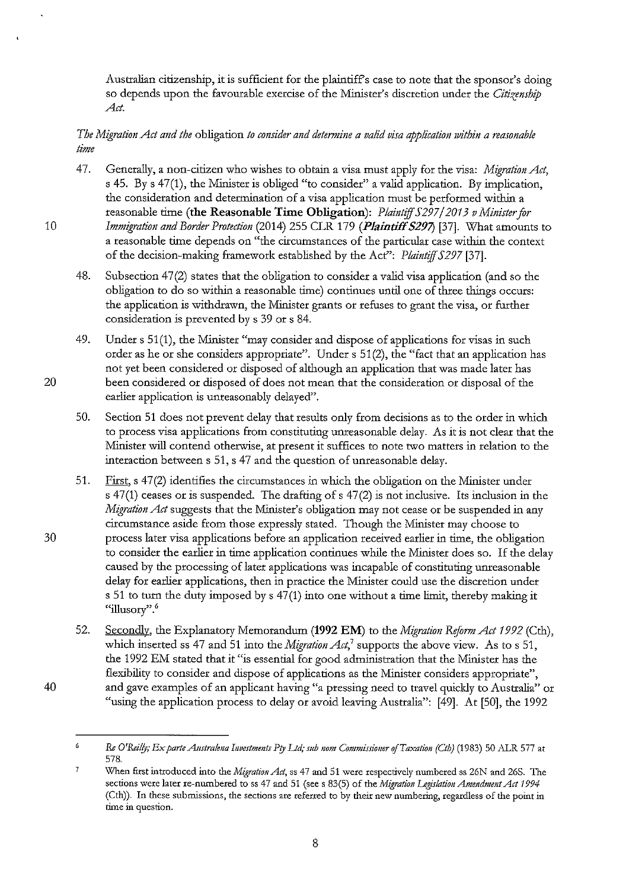Australian citizenship, it is sufficient for the plaintiffs case to note that the sponsor's doing so depends upon the favourable exercise of the Minister's discretion under the *Citizenship Act.* 

## *The Migration Act and the* obligation *to consider and determim a valid visa application within a reasonable time*

- 4 7. Generally, a non-citizen who wishes to obtain a visa must apply for the visa: *Migration Act,*  s 45. By s 47(1), the Minister is obliged "to consider" a valid application. By implication, the consideration and determination of a visa application must be performed within a reasonable time **(the Reasonable Time Obligation):** *Plaintiff 5297/2013 v Minister for*  10 *Immigration and Border Protection* (2014) 255 CLR 179 **(PlaintiffS29'7)** [37]. What amounts to a reasonable time depends on "the circumstances of the particular case within the context of the decision-making framework established by the Act'': *Plaintiff 5297* [37].
	- 48. Subsection 47(2) states that the obligation to consider a valid visa application (and so the obligation to do so within a reasonable time) continues until one of three things occurs: the application is withdrawn, the Minister grants or refuses to grant the visa, or further consideration is prevented by s 39 or s 84.
- 49. Under s 51(1), the Minister "may consider and dispose of applications for visas in such order as he or she considers appropriate". Under s 51(2), the "fact that an application has not yet been considered or disposed of although an application that was made later has 20 been considered or disposed of does not mean that the consideration or disposal of the earlier application is unreasonably delayed".
	- 50. Section 51 does not prevent delay that results only from decisions as to the order in which to process visa applications from constituting unreasonable delay. As it is not clear that the Minister will contend otherwise, at present it suffices to note two matters in relation to the interaction between s 51, s 47 and the question of unreasonable delay.
- 51. First, s 47(2) identifies the circumstances in which the obligation on the Minister under s 47(1) ceases or is suspended. The drafting of s 47(2) is not inclusive. Its inclusion in the *Migration Act* suggests that the Minister's obligation may not cease or be suspended in any circumstance aside from those expressly stated. Though the Minister may choose to 30 process later visa applications before an application received earlier in time, the obligation to consider the earlier in time application continues while the Minister does so. If the delay caused by the processing of later applications was incapable of constituting unreasonable delay for earlier applications, then in practice the Minister could use the discretion under s 51 to turn the duty imposed by s 47(1) into one without a time limit, thereby making it **"illusory".** *<sup>6</sup>*
- 52. Secondly, the Explanatory Memorandum **(1992 EM)** to the *Migration Reform Act 1992* (Cth), which inserted ss 47 and 51 into the *Migration Act,'* supports the above view. As to s 51, the 1992 EM stated that it "is essential for good administration that the Minister has the flexibility to consider and dispose of applications as the Minister considers appropriate", 40 and gave examples of an applicant having "a pressing need to travel quickly to Australia" or "using the application process to delay or avoid leaving Australia": [49]. At [50], the 1992

 $\ddot{\mathbf{6}}$ *Re O'Reilly; Ex parte Australena Investments Pty Ltd; sub nom Commissioner of Taxation (Cth)* (1983) 50 ALR 577 at 578.

 $\overline{7}$ **When first introduced into the** *Migration Act,* **ss 47 and 51 were respectively numbered ss 26N and 26S. The sections were later re-numbered to ss 47 and 51 (see s 83(5) of the** *1\lligration Legislation Amendment Act 1994*  **(Cth)). In these submissions, the sections are referred to by their new numbering, regardless of the point in time in question.**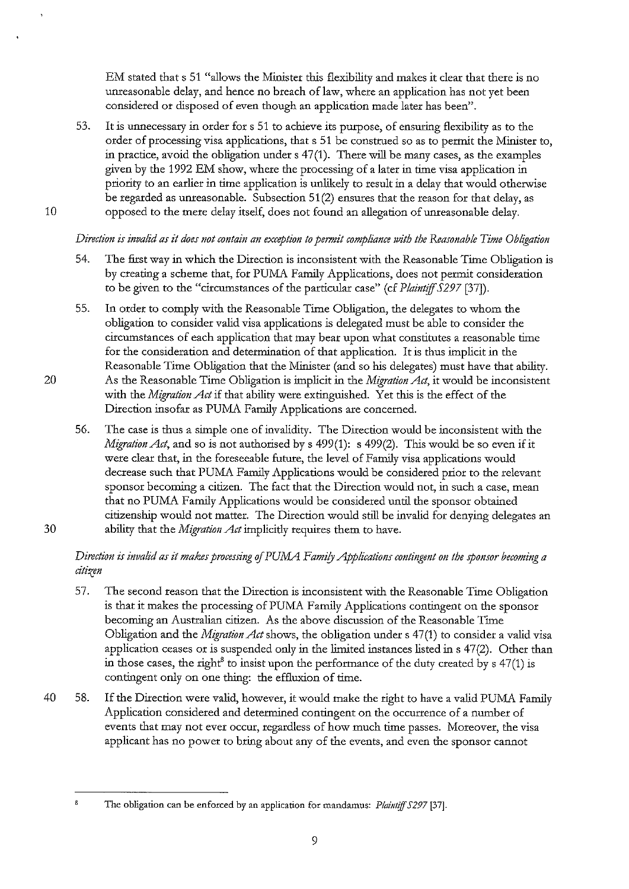EM stated that s 51 "allows the Minister this flexibility and makes it clear that there is no unreasonable delay, and hence no breach of law, where an application has not yet been considered or disposed of even though an application made later has been".

53. It is unnecessary in order fors 51 to achieve its purpose, of ensuring flexibility as to the order of processing visa applications, that s 51 be construed so as to permit the Minister to, in practice, avoid the obligation under s 47(1). There will be many cases, as the examples given by the 1992 EM show, where the processing of a later in time visa application in priority to an earlier in time application is unlikely to result in a delay that would otherwise be regarded as unreasonable. Subsection 51 (2) ensures that the reason for that delay, as 10 opposed to the mere delay itself, does not found an allegation of unreasonable delay.

# *Direction is invalid as it does not contain an exception to permit compliance with the Reasonable Time Obligation*

- 54. The first way in which the Direction is inconsistent with the Reasonable Time Obligation is by creating a scheme that, for PUMA Family Applications, does not permit consideration to be given to the "circumstances of the particular case" (cf *Plaintiff 5297* [37]).
- 55. In order to comply with the Reasonable Time Obligation, the delegates to whom the obligation to consider valid visa applications is delegated must be able to consider the circumstances of each application that may bear upon what constitutes a reasonable time for the consideration and determination of that application. It is thus implicit in the Reasonable Time Obligation that the Minister (and so his delegates) must have that ability. 20 As the Reasonable Time Obligation is implicit in the *Migration Act,* it would be inconsistent with the *Migration Act* if that ability were extinguished. Yet this is the effect of the Direction insofar as PUMA Family Applications are concerned.
- 56. The case is thus a simple one of invalidity. The Direction would be inconsistent with the *Migration Act*, and so is not authorised by s 499(1): s 499(2). This would be so even if it were clear that, in the foreseeable future, the level of Family visa applications would decrease such that PUMA Family Applications would be considered prior to the relevant sponsor becoming a citizen. The fact that the Direction would not, in such a case, mean that no PUMA Family Applications would be considered until the sponsor obtained citizenship would not matter. The Direction would still be invalid for denying delegates an 30 ability that the *Migration Act* implicitly requires them to have.

# *Direction is invalid as it makes processing of PUMA Family Applications contingent on the sponsor becoming a citizm*

- 57. The second reason that the Direction is inconsistent with the Reasonable Time Obligation is that it makes the processing of PUMA Family Applications contingent on the sponsor becoming an Australian citizen. As the above discussion of the Reasonable Time Obligation and the *Migration Act* shows, the obligation under s 47(1) to consider a valid visa application ceases or is suspended only in the limited instances listed ins 47(2). Other than in those cases, the right<sup>8</sup> to insist upon the performance of the duty created by  $s$  47(1) is contingent only on one thing: the effluxion of time.
- 40 58. If the Direction were valid, however, it would make the right to have a valid PUMA Family Application considered and determined contingent on the occurrence of a number of events that may not ever occur, regardless of how much time passes. Moreover, the visa applicant has no power to bring about any of the events, and even the sponsor cannot

The obligation can be enforced by an application for mandamus: *Plaintiff 5297* [37].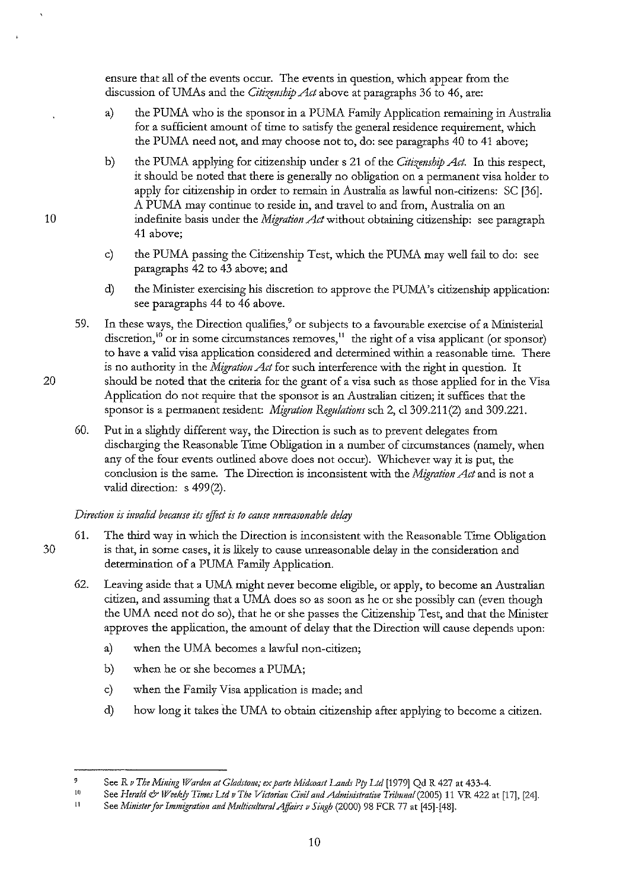ensure that all of the events occur. The events in question, which appear from the discussion of UMAs and the *Citizenship Act* above at paragraphs 36 to 46, are:

- a) the PUMA who is the sponsor in a PUMA Family Application remaining in Australia for a sufficient amount of time to satisfy the general residence requirement, which the PUMA need not, and may choose not to, do: see paragraphs 40 to 41 above;
- b) the PUMA applying for citizenship under s 21 of the *Citizmship Act.* In this respect, it should be noted that there is generally no obligation on a permanent visa holder to apply for citizenship in order to remain in Australia as lawful non-citizens: SC [36]. A PUMA may continue to reside in, and travel to and from, Australia on an indefinite basis under the *Migration Act* without obtaining citizenship: see paragraph 41 above;
- c) the PUMA passing the Citizenship Test, which the PUMA may well fail to do: see paragraphs 42 to 43 above; and
- d) the Minister exercising his discretion to approve the PUMA's citizenship application: see paragraphs 44 to 46 above.
- 59. In these ways, the Direction qualifies,<sup>9</sup> or subjects to a favourable exercise of a Ministerial discretion,<sup>10</sup> or in some circumstances removes,<sup>11</sup> the right of a visa applicant (or sponsor) to have a valid visa application considered and determined within a reasonable time. There is no authority in the *Migration Act* for such interference with the right in question. It 20 should be noted that the criteria for the grant of a visa such as those applied for in the Visa Application do not require that the sponsor is an Australian citizen; it suffices that the sponsor is a permanent resident: *Migration Regulations* sch 2, cl309 .211 (2) and 309.221.
	- 60. **Put** in a slightly different way, the Direction is such as to prevent delegates from discharging the Reasonable Time Obligation **in** a number of circumstances (namely, when any of the four events outlined above does not occur). Whichever way it is put, the conclusion is the same. The Direction is inconsistent with the *Migration Att* and is not a valid direction: s 499(2).

## *Direction is invalid because its effict is to cause unreasonable delay*

- 61. The third way in which the Direction is inconsistent with the Reasonable Time Obligation 30 is that, in some cases, it is likely to cause unreasonable delay in the consideration and determination of a PUMA Family Application.
	- 62. Leaving aside that a UMA might never become eligible, or apply, to become an Australian citizen, and assuming that a UMA does so as soon as he or she possibly can (even though the UMA need not do so), that he or she passes the Citizenship Test, and that the Minister approves the application, the amount of delay that the Direction will cause depends upon:
		- a) when the UMA becomes a lawful non-citizen;
		- b) when he or she becomes a PUMA;
		- c) when the Family Visa application is made; and
		- d) how long it takes the UMA to obtain citizenship after applying to become a citizen.

*<sup>9</sup>*  See R v The Mining Warden at Gladstone; ex parte Midcoast Lands Pty Ltd [1979] Qd R 427 at 433-4.

If) See *Herald & Weekly Times Ltd v The Victorian Civil and Administrative Tribunal* (2005) 11 VR 422 at [17], [24].

<sup>11</sup>  See Minister for Immigration and Multicultural Affairs v Singh (2000) 98 FCR 77 at [45]-[48].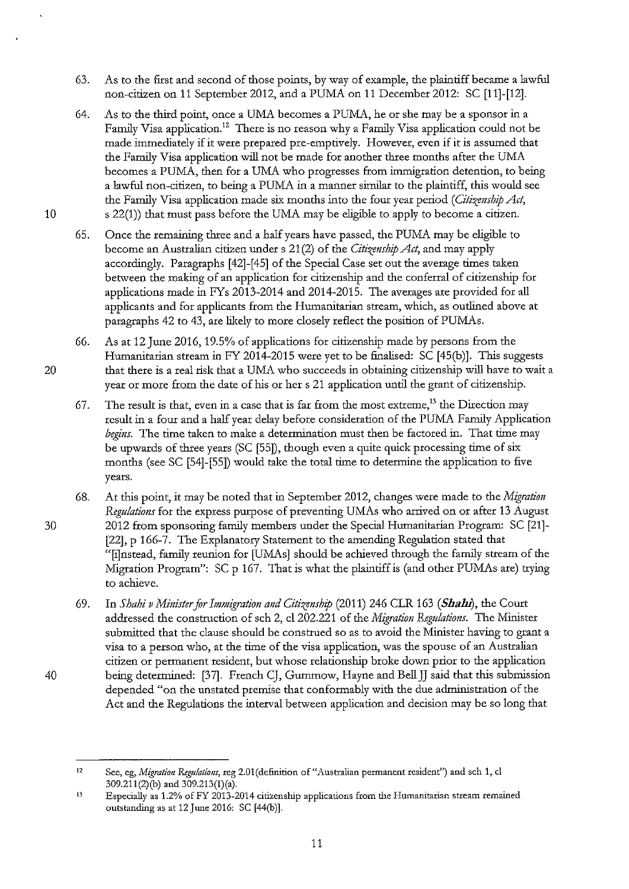- 63. As to the first and second of those points, by way of example, the plaintiff became a lawful non-citizen on 11 September 2012, and a PUMA on 11 December 2012: SC [11]-[12].
- 64. As to the third point, once a UMA becomes a PUMA, he or she may be a sponsor in a Family Visa application.<sup>12</sup> There is no reason why a Family Visa application could not be made immediately if it were prepared pre-emptively. However, even if it is assumed that the Family Visa application will not be made for another three months after the UMA becomes a PUMA, then for a UMA who progresses from immigration detention, to being a lawful non-citizen, to being a PUMA in a manner similar to the plaintiff, this would see the Family Visa application made six months into the four year period (*Citizenship Act*, 10 s 22(1)) that must pass before the UMA may be eligible to apply to become a citizen.
	- 65. Once the remaining three and a half years have passed, the PUMA may be eligible to become an Australian citizen under s 21 (2) of the *Citizmship Act,* and may apply accordingly. Paragraphs [42]-[45] of the Special Case set out the average times taken between the making of an application for citizenship and the conferral of citizenship for applications made in FYs 2013-2014 and 2014-2015. The averages are provided for all applicants and for applicants from the Humanitarian stream, which, as outlined above at paragraphs 42 to 43, are likely to more closely reflect the position of PUMAs.
- 66. As at 12 June 2016, 19.5% of applications for citizenship made by persons from the Humanitarian stream in FY 2014-2015 were yet to be finalised: SC [45(b)]. This suggests 20 that there is a real risk that a UMA who succeeds in obtaining citizenship will have to wait a year or more from the date of his or her s 21 application until the grant of citizenship.
	- 67. The result is that, even in a case that is far from the most extreme,<sup>13</sup> the Direction may result in a four and a half year delay before consideration of the PUMA Family Application *begins.* The time taken to make a determination must then be factored in. That time may be upwards of three years (SC [55]), though even a quite quick processing time of six months (see SC [54]-[55]) would take the total time to determine the application to five years.
- 68. At this point, it may be noted that in September 2012, changes were made to the *Migration Regulations* for the express purpose of preventing UMAs who arrived on or after 13 August 30 2012 from sponsoring family members under the Special Humanitarian Program: SC [21]- [22], p 166-7. The Explanatory Statement to the amending Regulation stated that "[i]nstead, family reunion for [UMAs] should be achieved through the family stream of the Migration Program":  $SC p 167$ . That is what the plaintiff is (and other PUMAs are) trying to achieve.
- 69. In *Shahi v Minister for Immigration and Citizenship* (2011) 246 CLR 163 (*Shahi*), the Court addressed the construction of sch 2, c\202.221 of the *Migration Regulations.* The Minister submitted that the clause should be construed so as to avoid the Minister having to grant a visa to a person who, at the time of the visa application, was the spouse of an Australian citizen or permanent resident, but whose relationship broke down prior to the application 40 being determined: [37]. French CJ, Gummow, Hayne and BellJJ said that this submission depended "on the unstated premise that conformably with the due administration of the Act and the Regulations the interval between application and decision may be so long that

<sup>12</sup>  See, eg, *Migration Regulations*, reg 2.01(definition of "Australian permanent resident") and sch 1, cl 309.211(2)(b) and 309.213(1)(a).

<sup>13</sup>  **Especially as 1.2% of** *FY* **2013-2014 citizenship applications from the Humanitarian stream remained**  outstanding as at 12 June 2016: SC [44(b)].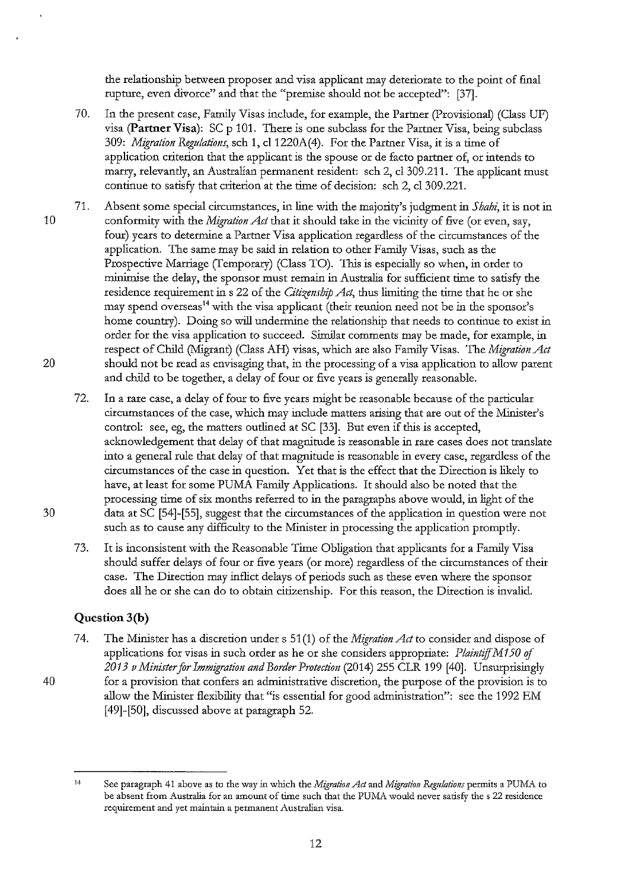the relationship between proposer and visa applicant may deteriorate to the point of final rupture, even divorce" and that the "premise should not be accepted": [37].

- 70. In the present case, Family Visas include, for example, the Partner (Provisional) (Class UF) visa **(Partner Visa):** SC p 101. There is one subclass for the Partner Visa, being subclass 309: *Migration Regulations,* sch 1, cl1220A(4). For the Partner Visa, it is a time of application criterion that the applicant is the spouse or de facto partner of, or intends to marry, relevantly, an Australian permanent resident: sch 2, cl 309.211. The applicant must continue to satisfy that criterion at the time of decision: sch 2, cl 309.221.
- 71. Absent some special circumstances, in line with the majority's judgment in *Shahi,* it is not in 10 confonnity with the *Migration Act* that it should take in the vicinity of five (or even, say, four) years to determine a Partner Visa application regardless of the circumstances of the application. The same may be said in relation to other Family Visas, such as the Prospective Marriage (Temporary) (Class TO). This is especially so when, in order to minimise the delay, the sponsor must remain in Australia for sufficient time to satisfy the residence requirement in s 22 of the *Citizenship Act,* thus limiting the time that he or she may spend overseas<sup>14</sup> with the visa applicant (their reunion need not be in the sponsor's home country). Doing so will undermine the relationship that needs to continue to exist in order for the visa application to succeed. Similar comments may be made, for example, in respect of Child (Migrant) (Class AH) visas, which are also Family Visas. The *Migration Act*  20 should not be read as envisaging that, in the processing of a visa application to allow parent and child to be together, a delay of four or five years is generally reasonable.
- 72. In a rare case, a delay of four to five years might be reasonable because of the particular circumstances of the case, which may include matters arising that are out of the Minister's control: see, eg, the matters outlined at SC [33]. But even if this is accepted, acknowledgement that delay of that magnitude is reasonable in rare cases does not translate into a general rule that delay of that magnitude is reasonable in *eveq* case, regardless of the circumstances of the case in question. Yet that is the effect that the Direction is likely to have, at least for some PUMA Family Applications. It should also be noted that the processing time of six months referred to in the paragraphs above would, in light of the 30 data at se [54]-[55], suggest that the circumstances of the application in question were not such as to cause any difficulty to the Minister in processing the application promptly.
	- 73. It is inconsistent with the Reasonable Time Obligation that applicants for a Family Visa should suffer delays of four or five years (or more) regardless of the circumstances of their case. The Direction may inflict delays of periods such as these even where the sponsor does all he or she can do to obtain citizenship. For this reason, the Direction is invalid.

## **Question 3(b)**

7 4. The Minister has a discretion under s 51 (1) of the *Migration Att* to consider and dispose of applications for visas in such order as he or she considers appropriate: *Plaintiff M* I *50 of 2013 vMinisterfor Immigration and Border Protection* (2014) 255 CLR 199 [40]. Unsurprisingly 40 for a provision that confers an administrative discretion, the purpose of the provision is to allow the Minister flexibility that "is essential for good administration": see the 1992 EM [49]-[50], discussed above at paragraph 52.

 $^{14}$  See paragraph 41 above as to the way in which the *Migration Act* and *Migration Regulations* permits a PUMA to be absent from Australia for an amount of time such that the PUMA would never satisfy the s 22 residence **requirement and yet maintain a permanent Australian visa.**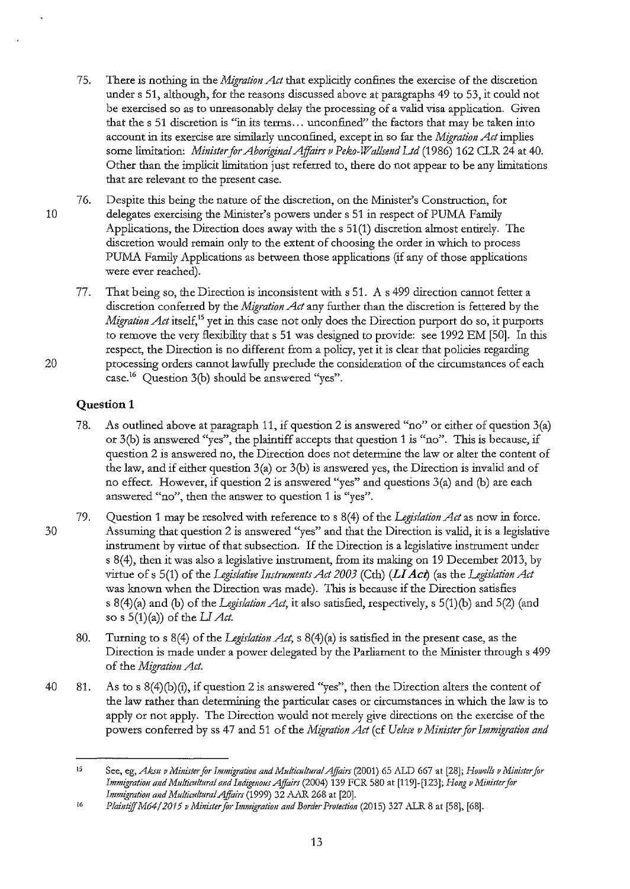- 75. There is nothing in the *Migration Act* that explicitly confines the exercise of the discretion under s 51, although, for the reasons discussed above at patagraphs 49 to 53, it could not be exercised so as to unreasonably delay the processing of a valid visa application. Given that the s 51 discretion is "in its terms ... unconfined" the factors that may be taken into account in its exercise are similatly unconfined, except in so fat the *Migration Act* implies some limitation: *Minister for Aboriginal Affairs v Peko-Wallsend Ltd* (1986) 162 CLR 24 at 40. Other than the implicit limitation just referred to, there do not appeat to be any limitations that are relevant to the present case.
- 76. Despite this being the nature of the discretion, on the Minister's Construction, for 10 delegates exercising the Minister's powers under s 51 in respect of PUMA Family Applications, the Direction does away with the s 51 (1) discretion almost entirely. The discretion would remain only to the extent of choosing the order in which to process PUMA Family Applications as between those applications (if any of those applications were ever reached).
- 77. That being so, the Direction is inconsistent with s 51. A s 499 direction cannot fetter a discretion conferred by the *Migration Act* any further than the discretion is fettered by the *Migration Act* itself,<sup>15</sup> yet in this case not only does the Direction purport do so, it purports to remove the very flexibility that s 51 was designed to provide: see 1992 EM [50]. In this respect, the Direction is no different from a policy, yet it is cleat that policies regatding 20 processing orders cannot lawfully preclude the consideration of the circumstances of each case.<sup>16</sup> Question 3(b) should be answered "yes".

# **Question 1**

- 78. As outlined above at patagraph 11, if question 2 is answered "no" or either of question 3(a) or 3(b) is answered "yes", the plaintiff accepts that question 1 is "no". This is because, if question 2 is answered no, the Direction does not determine the law or alter the content of the law, and if either question  $3(a)$  or  $3(b)$  is answered yes, the Direction is invalid and of no effect. However, if question 2 is answered "yes" and questions  $3(a)$  and (b) are each **answered "no", then the answer to question 1 is "yes".**
- 79. Question 1 may be resolved with reference to s 8(4) of the *Legislation Act* as now in force. 30 Assuming that question 2 is answered "yes" and that the Direction is valid, it is a legislative insttument by virtue of that subsection. If the Direction is a legislative insttument under s 8(4), then it was also a legislative instrument, from its making on 19 December 2013, by virtue of s 5(1) of the *Legislative Instruments Act 2003* (Cth) (LI Act) (as the *Legislation Act* was known when the Direction was made). This is because if the Direction satisfies s 8(4)(a) and (b) of the *Legislation Act,* it also satisfied, respectively, s 5(1)(b) and 5(2) (and so s 5(1)(a)) of the U *Act.* 
	- 80. Turning to s 8( 4) of the *Legislation Act,* s 8( 4) (a) is satisfied in the present case, as the Direction is made under a power delegated by the Parliament to the Minister through s 499 of the *Migration Act.*
- 40 81. As to s 8(4)(b)(i), if question 2 is answered "yes", then the Direction alters the content of the law rather than determining the particular cases or circumstances in which the law is to apply or not apply. The Direction would not merely give directions on the exercise of the powers conferred by ss 47 and 51 of the *Migration Act* (cf *Uelese v Minister for Immigration and*

<sup>15</sup>  See, eg, Aksu v Minister for Immigration and Multicultural Affairs (2001) 65 ALD 667 at [28]; *Howells v Minister for Immigration and Multicnltural a11d I11digmous Affairs* (2004) 139 FCR 580 at [119]-[123]; *Hong v Mi11ister for Immigration mtd MnltiCIIflnral Affairs* (1999) 32 AAR 268 at [20].

<sup>16</sup>  *Plaintiff M64/ 2015 v Minister for Immigration and Border Protection (2015) 327 ALR 8 at [58], [68].*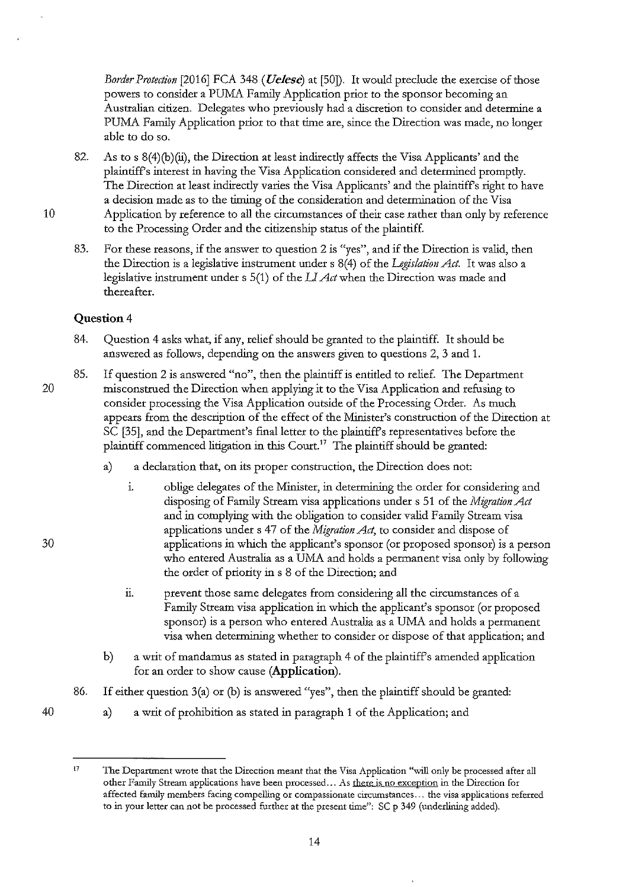*Border Protection* [2016] FCA 348 ( *Uelese)* at [50]). It would preclude the exercise of those powers to consider a PUMA Family Application prior to the sponsor becoming an Australian citizen. Delegates who previously had a discretion to consider and determine a PUMA Family Application prior to that time are, since the Direction was made, no longer able to do so.

- 82. As to s 8(4)(b)(ii), the Direction at least indirectly affects the Visa Applicants' and the plaintiffs interest in having the Visa Application considered and determined promptly. The Direction at least indirectly varies the Visa Applicants' and the plaintiffs right to have a decision made as to the timing of the consideration and determination of the Visa 10 Application by reference to all the circumstances of their case rather than only by reference to the Processing Order and the citizenship status of the plaintiff.
	- 83. For these reasons, if the answer to question 2 is "yes", and if the Direction is valid, then the Direction is a legislative instrument under s 8(4) of the *Legislation Act*. It was also a legislative instrument under s 5(1) of the *LI Act* when the Direction was made and thereafter.

## **Question4**

- 84. Question 4 asks what, if any, relief should be granted to the plaintiff. It should be answered as follows, depending on the answers given to questions 2, 3 and 1.
- 85. If question 2 is answered "no", then the plaintiff is entitled to relief. The Department 20 misconstrued the Direction when applying it to the Visa Application and refusing to consider processing the Visa Application outside of the Processing Order. As much appears from the description of the effect of the Minister's construction of the Direction at SC [35], and the Department's final letter to the plaintiffs representatives before the plaintiff commenced litigation in this  $Count<sup>17</sup>$  The plaintiff should be granted:
	- a) a declaration that, on its proper construction, the Direction does not:
- 1. oblige delegates of the Minister, in determining the order for considering and disposing of Family Stream visa applications under s 51 of the *Migration Act*  and in complying with the obligation to consider valid Family Stream visa applications under s 47 of the *Migration Act*, to consider and dispose of 30 applications in which the applicant's sponsor (or proposed sponsor) is a person who entered Australia as a UMA and holds a permanent visa only by following the order of priority in s 8 of the Direction; and
	- ii. prevent those same delegates from considering all the circumstances of a Family Stream visa application in which the applicant's sponsor (or proposed sponsor) is a person who entered Australia as a UMA and holds a permanent visa when determining whether to consider or dispose of that application; and
	- b) a writ of mandamus as stated in paragraph 4 of the plaintiffs amended application for an order to show cause **(Application).**
	- 86. If either question 3(a) or (b) is answered "yes", then the plaintiff should be granted:
	- a) a writ of prohibition as stated in paragraph 1 of the Application; and

 $17$ **The Department wrote that the Direction meant that the Visa Application "will only be processed after all other Family Stream applications have been processed ... As there is no exception in the Direction for affected family members facing compelling or compassionate circumstances ... the visa applications referred to in your letter can not be processed further at the present time": se p 349 (underlining added).**